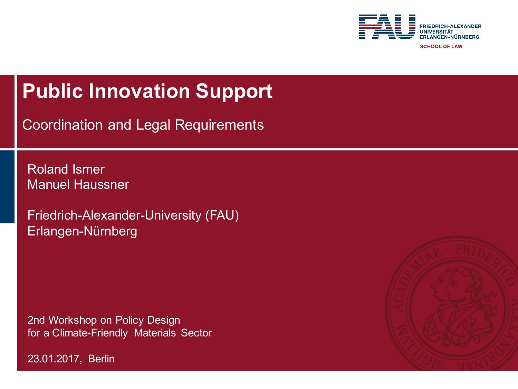

**SCHOOL OF LAW** 

#### **Public Innovation Support**

Coordination and Legal Requirements

Roland Ismer Manuel Haussner

Friedrich-Alexander-University (FAU) Erlangen-Nürnberg

2nd Workshop on Policy Design for a Climate-Friendly Materials Sector



23.01.2017, Berlin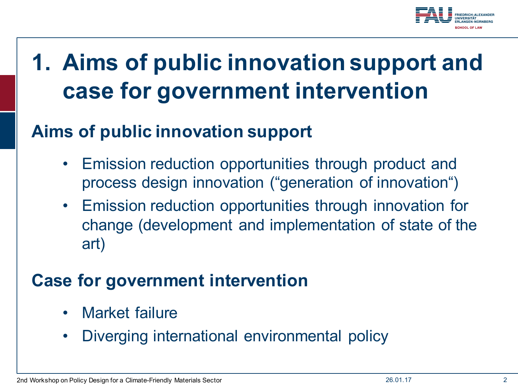

### **1. Aims of public innovation support and case for government intervention**

#### **Aims of public innovation support**

- Emission reduction opportunities through product and process design innovation ("generation of innovation")
- Emission reduction opportunities through innovation for change (development and implementation of state of the art)

#### **Case for government intervention**

- Market failure
- Diverging international environmental policy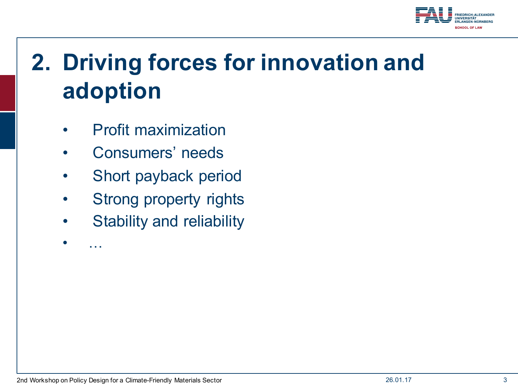

# **2. Driving forces for innovation and adoption**

- Profit maximization
- Consumers' needs
- Short payback period
- Strong property rights
- Stability and reliability

2nd Workshop on Policy Design for a Climate-Friendly Materials Sector 26.01.17 3

• …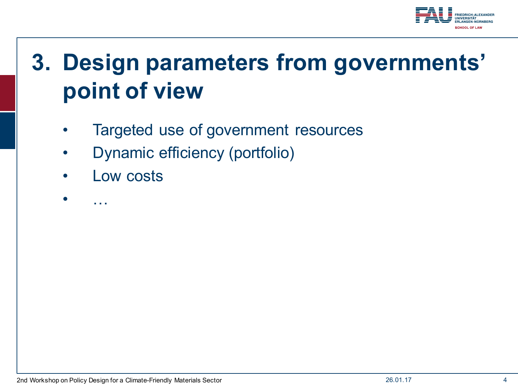

## **3. Design parameters from governments' point of view**

- Targeted use of government resources
- Dynamic efficiency (portfolio)
- Low costs

• …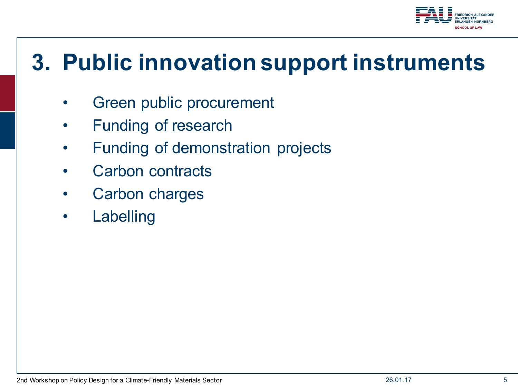

#### **3. Public innovation support instruments**

- Green public procurement
- Funding of research
- Funding of demonstration projects
- Carbon contracts
- Carbon charges
- **Labelling**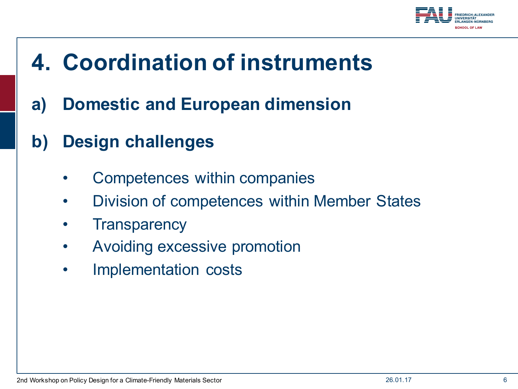

### **4. Coordination of instruments**

- **a) Domestic and European dimension**
- **b) Design challenges**
	- Competences within companies
	- Division of competences within Member States
	- **Transparency**
	- Avoiding excessive promotion
	- Implementation costs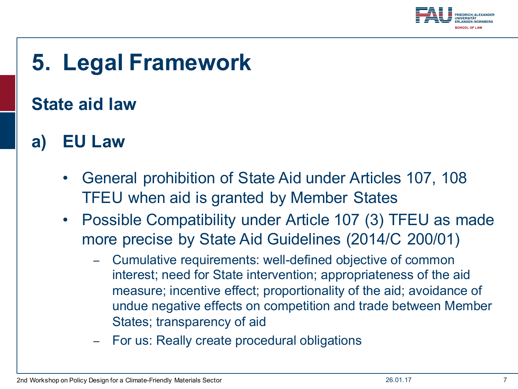

### **5. Legal Framework**

#### **State aid law**

- **a) EU Law**
	- General prohibition of State Aid under Articles 107, 108 TFEU when aid is granted by Member States
	- Possible Compatibility under Article 107 (3) TFEU as made more precise by State Aid Guidelines (2014/C 200/01)
		- − Cumulative requirements: well-defined objective of common interest; need for State intervention; appropriateness of the aid measure; incentive effect; proportionality of the aid; avoidance of undue negative effects on competition and trade between Member States; transparency of aid
		- For us: Really create procedural obligations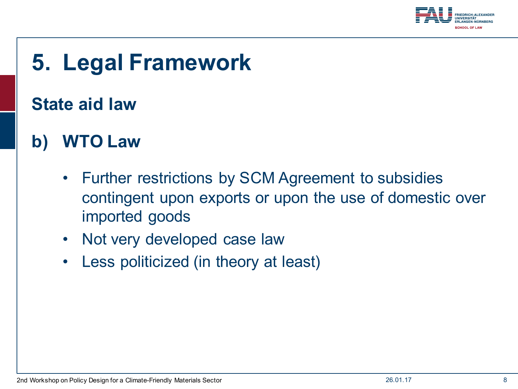

### **5. Legal Framework**

#### **State aid law**

#### **b) WTO Law**

- Further restrictions by SCM Agreement to subsidies contingent upon exports or upon the use of domestic over imported goods
- Not very developed case law
- Less politicized (in theory at least)